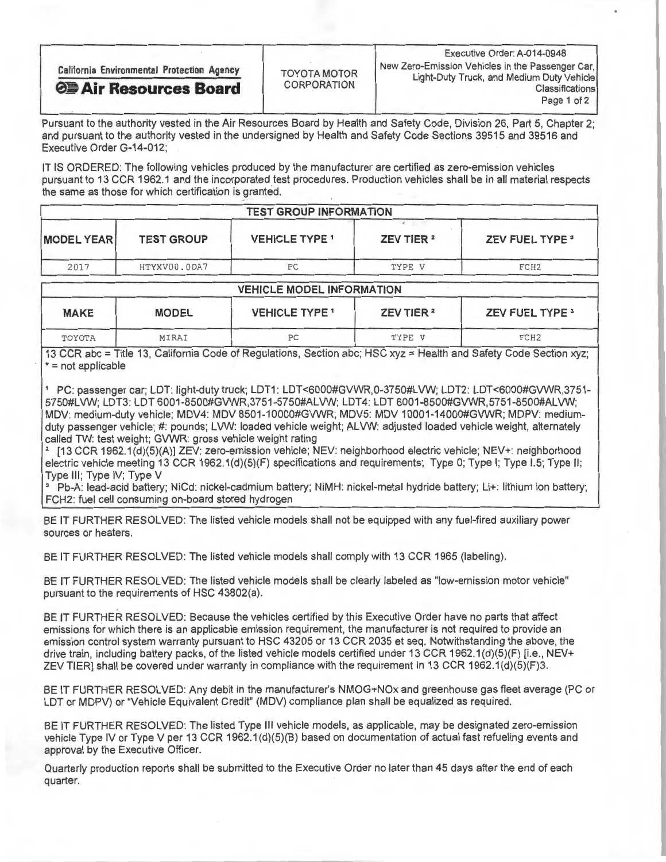| <b>California Environmental Protection Agency</b> | <b>TOYOTA MOTOR</b><br><b>CORPORATION</b> | Executive Order: A-014-0948<br>New Zero-Emission Vehicles in the Passenger Car,<br>Light-Duty Truck, and Medium Duty Vehicle |
|---------------------------------------------------|-------------------------------------------|------------------------------------------------------------------------------------------------------------------------------|
| <b>OB</b> Air Resources Board                     |                                           | <b>Classifications</b><br>Page 1 of 2                                                                                        |

Pursuant to the authority vested in the Air Resources Board by Health and Safety Code, Division 26, Part 5, Chapter 2; and pursuant to the authority vested in the undersigned by Health and Safety Code Sections 39515 and 39516 and Executive Order G-14-012;

IT IS ORDERED: The following vehicles produced by the manufacturer are certified as zero-emission vehicles pursuant to 13 CCR 1962.1 and the incorporated test procedures. Production vehicles shall be in all material respects the same as those for which certification is granted.

| <b>TEST GROUP INFORMATION</b> |                   |                       |                       |                        |  |  |
|-------------------------------|-------------------|-----------------------|-----------------------|------------------------|--|--|
| <b>MODEL YEAR</b>             | <b>TEST GROUP</b> | <b>VEHICLE TYPE 1</b> | ZEV TIER <sup>2</sup> | <b>ZEV FUEL TYPE 3</b> |  |  |
| 2017                          | HTYXV00.0DA7      | РC                    | TYPE V                | FCH <sub>2</sub>       |  |  |

## VEHICLE MODEL INFORMATION

| <b>MAKE</b> | <b>MODEL</b> | <b>VEHICLE TYPE 1</b> | ZEV TIER <sup>2</sup> | <b>ZEV FUEL TYPE 3</b> |
|-------------|--------------|-----------------------|-----------------------|------------------------|
| TOYOTA      | MIRAI        | РC                    | TYPE V                | FCH <sub>2</sub>       |

13 CCR abc = Title 13, California Code of Regulations, Section abc; HSC xyz = Health and Safety Code Section xyz; \* = not applicable

 $\sim$  PC: passenger car; LDT: light-duty truck; LDT-1: LDT-duty truck; LDT1: LDT-docar; LDT-docar; LDT-docar; LDT-docar; LDT-docar; LDT-docar; LDT-docar; LDT-docar; LDT-docar; LDT-docar; LDT-docar; LDT-docar; LDT-docar; LD 5750#LVW; LDT3: LDT 6001-8500#GVWR,3751-5750#ALVW; LDT4: LDT 6001-8500#GVWR,5751-8500#ALVW; MDV: medium-duty vehicle; MDV4: MDV 8501-10000#GVWR; MDV5: MDV 10001-14000#GVWR; MDPV: mediumduty passenger vehicle; #: pounds; LVW: loaded vehicle weight; ALVW: adjusted loaded vehicle weight, alternately<br>called TW: test weight; GVWR: gross vehicle weight rating called TW: test weight; GVWR: gross vehicle weight rating

[13 CCR 1962.1(d)(5)(A)] ZEV: zero-emission vehicle; NEV; neighborhood electric vehicle; NEV+: neighborhood electric vehicle meeting 13 CCR 1962.1(d)(5)(F) specifications and requirements; Type 0; Type I; Type I.5; Type II;<br>Type III; Type IV; Type V Type  $III$ ; Type IV; Type V

Pb-A: lead-acid battery; NiCd: nickel-cadmium battery; NIMH: nickel-metal hydride battery; Li+: lithium ion battery; FCH2: fuel cell consuming on-board stored hydrogen

BE IT FURTHER RESOLVED: The listed vehicle models shall not be equipped with any fuel-fired auxiliary power sources or heaters.

BE IT FURTHER RESOLVED: The listed vehicle models shall comply with 13 CCR 1965 (labeling).

BE IT FURTHER RESOLVED: The listed vehicle models shall be clearly labeled as "low-emission motor vehicle" pursuant to the requirements of HSC 43802(a).

BE IT FURTHER RESOLVED: Because the vehicles certified by this Executive Order have no particle affective order have no particle and emissions for which there is an applicable emission requirement, the manufacturer is not required to provide an emission control system warranty pursuant to HSC 43205 or 13 CCR 2035 et seq. Notwithstanding the above, the drive train, including battery packs, of the listed vehicle models certified under 13 CCR 1962.1(d)(5)(F) [i.e., drive train, including battery packs, of the listed vehicle models certified under 13 CCR 1962.1(d)(5)(F)  $\alpha$ ZEV TIER] shall be covered under warranty in compliance with the requirement in 13 CCR 1962.1(d)(5)(F)3.

BE IT FURTHER RESOLVED: Any debit in the manufacturer's NMOG+NOx and greenhouse gas fleet average (PC or LDT or MDPV) or "Vehicle Equivalent Credit" (MDV) compliance plan shall be equalized as required.

BE IT FURTHER RESOLVED: The listed Type Ill vehicle models, as applicable, may be designated zero-emission vehicle Type IV or Type V per 13 CCR 1962.1(d)(5)(B) based on documentation of actual fast refueling events and approval by the Executive Officer.

Quarterly production reports shall be submitted to the Executive Order no later than 45 days after the end of each quarter.